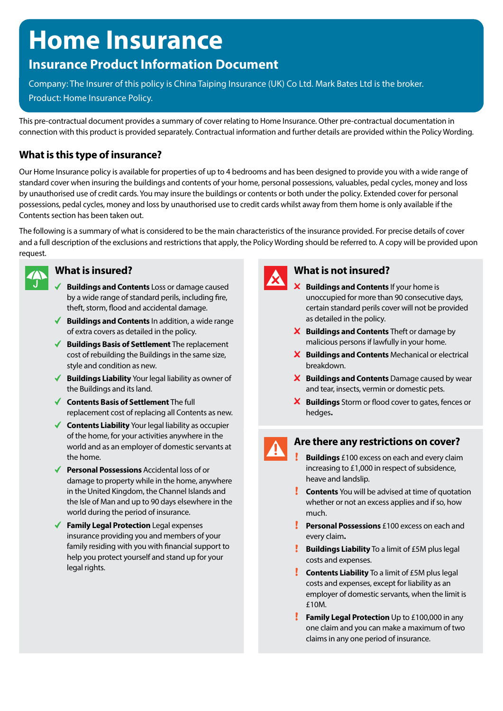# **Home Insurance**

## **Insurance Product Information Document**

Company: The Insurer of this policy is China Taiping Insurance (UK) Co Ltd. Mark Bates Ltd is the broker. Product: Home Insurance Policy.

This pre-contractual document provides a summary of cover relating to Home Insurance. Other pre-contractual documentation in connection with this product is provided separately. Contractual information and further details are provided within the Policy Wording.

## **What is this type of insurance?**

Our Home Insurance policy is available for properties of up to 4 bedrooms and has been designed to provide you with a wide range of standard cover when insuring the buildings and contents of your home, personal possessions, valuables, pedal cycles, money and loss by unauthorised use of credit cards. You may insure the buildings or contents or both under the policy. Extended cover for personal possessions, pedal cycles, money and loss by unauthorised use to credit cards whilst away from them home is only available if the Contents section has been taken out.

The following is a summary of what is considered to be the main characteristics of the insurance provided. For precise details of cover and a full description of the exclusions and restrictions that apply, the Policy Wording should be referred to. A copy will be provided upon request.



## **What is insured?**

- **Buildings and Contents** Loss or damage caused by a wide range of standard perils, including fire, theft, storm, flood and accidental damage.
- ◆ **Buildings and Contents** In addition, a wide range of extra covers as detailed in the policy.
- **Buildings Basis of Settlement** The replacement cost of rebuilding the Buildings in the same size, style and condition as new.
- ◆ **Buildings Liability** Your legal liability as owner of the Buildings and its land.
- **Contents Basis of Settlement** The full replacement cost of replacing all Contents as new.
- ◆ **Contents Liability** Your legal liability as occupier of the home, for your activities anywhere in the world and as an employer of domestic servants at the home.
- ◆ **Personal Possessions** Accidental loss of or damage to property while in the home, anywhere in the United Kingdom, the Channel Islands and the Isle of Man and up to 90 days elsewhere in the world during the period of insurance.
- **Family Legal Protection** Legal expenses insurance providing you and members of your family residing with you with financial support to help you protect yourself and stand up for your legal rights.



## **What is not insured?**

- **X** Buildings and Contents If your home is unoccupied for more than 90 consecutive days, certain standard perils cover will not be provided as detailed in the policy.
- **X** Buildings and Contents Theft or damage by malicious persons if lawfully in your home.
- **Buildings and Contents** Mechanical or electrical breakdown.
- **X** Buildings and Contents Damage caused by wear and tear, insects, vermin or domestic pets.
- **Buildings** Storm or flood cover to gates, fences or hedges**.**

## **Are there any restrictions on cover?**

- $\mathbf{r}$ **Buildings** £100 excess on each and every claim increasing to £1,000 in respect of subsidence, heave and landslip.
- **Contents** You will be advised at time of quotation whether or not an excess applies and if so, how much.
- **Personal Possessions** £100 excess on each and every claim**.**
- **Buildings Liability** To a limit of £5M plus legal costs and expenses.
- **Contents Liability** To a limit of £5M plus legal costs and expenses, except for liability as an employer of domestic servants, when the limit is £10M.
- Ţ. **Family Legal Protection** Up to £100,000 in any one claim and you can make a maximum of two claims in any one period of insurance.